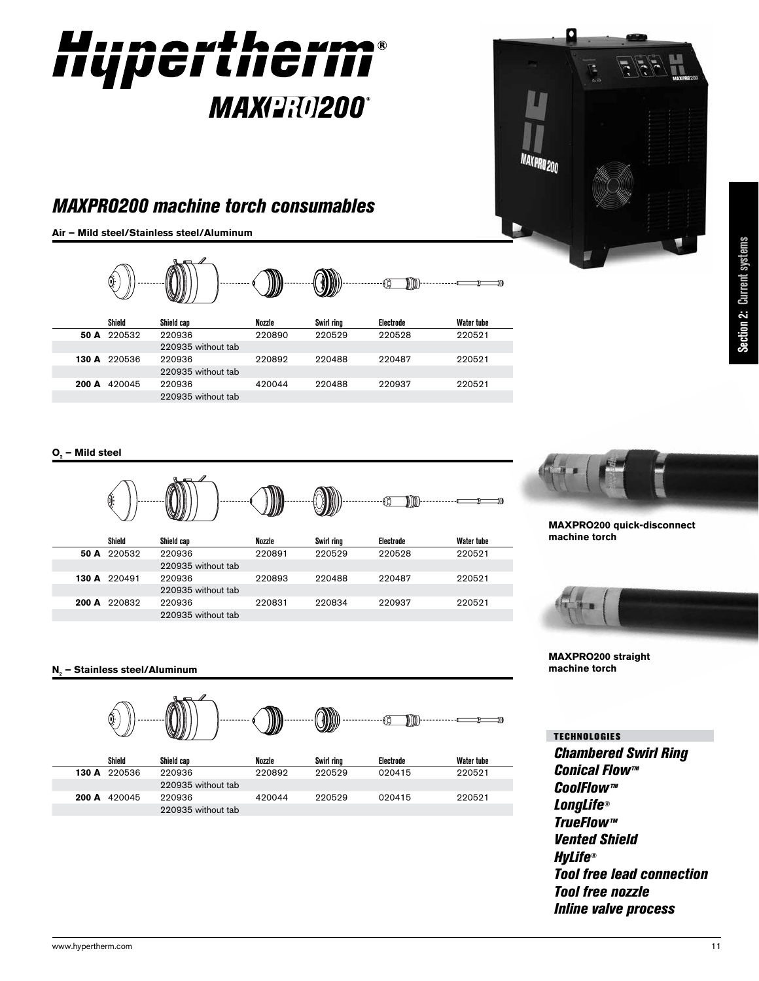

## *MAXPRO200 machine torch consumables*

220935 without tab

220935 without tab

**Air – Mild steel/Stainless steel/Aluminum** 420066 420044



**200 A** 420045 220936 420044 220488 220937 220521

### **O2 – Mild steel**





**MAXPRO200 quick-disconnect machine torch**

MAXPRO200



#### **MAXPRO200 straight machine torch**

**N2 – Stainless steel/Aluminum**



*Chambered Swirl Ring Conical Flow™ CoolFlow™ LongLife® TrueFlow™ Vented Shield HyLife® Tool free lead connection Tool free nozzle Inline valve process* TECHNOLOGIES